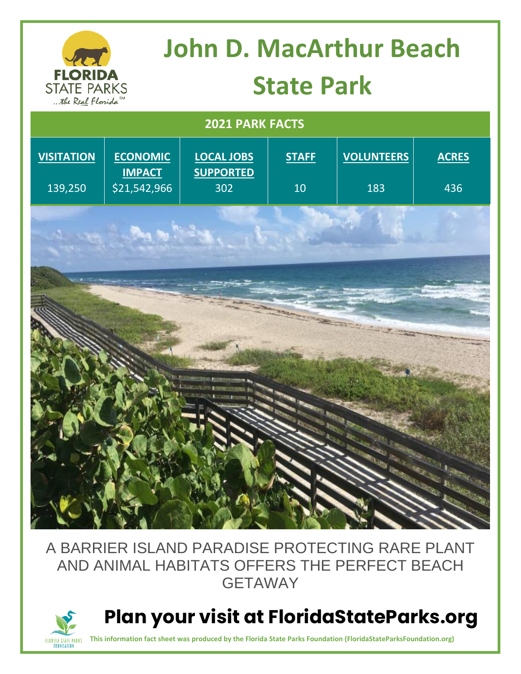## **John D. MacArthur Beach FLORIDA State Park STATE PARKS** ... the Real Florida  **2021 PARK FACTS VOLUNTEERS VISITATION ECONOMIC LOCAL JOBS STAFF ACRES IMPACT SUPPORTED** 139,250 \$21,542,966 302 10 183 436

## A BARRIER ISLAND PARADISE PROTECTING RARE PLANT AND ANIMAL HABITATS OFFERS THE PERFECT BEACH GETAWAY



 **Plan your visit at FloridaStateParks.org**

**This information fact sheet was produced by the Florida State Parks Foundation (FloridaStateParksFoundation.org)**